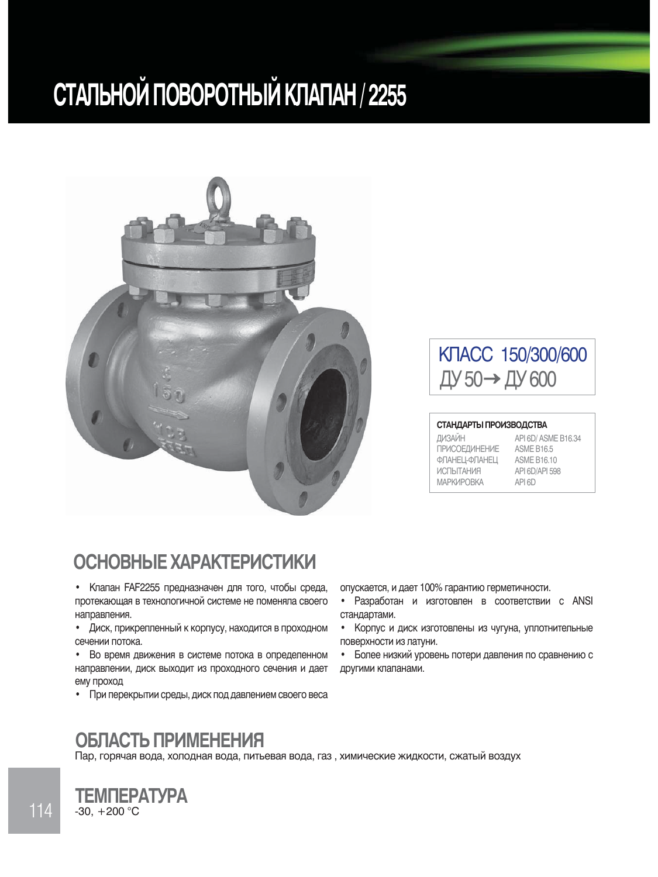# **СТАЛЬНОЙ ПОВОРОТНЫЙ КЛАПАН / 2255**



## KTACC 150/300/600 ДУ 50→ДУ 600

#### СТАНДАРТЫ ПРОИЗВОДСТВА

| ДИЗАЙН               | API 6D/ ASME B16.34 |
|----------------------|---------------------|
| <b>ПРИСОЕДИНЕНИЕ</b> | <b>ASME B16.5</b>   |
| ФЛАНЕЦ-ФЛАНЕЦ        | <b>ASME B16.10</b>  |
| <b>ИСПЫТАНИЯ</b>     | API 6D/API 598      |
| <b>МАРКИРОВКА</b>    | API 6D              |

#### **ОСНОВНЫЕ ХАРАКТЕРИСТИКИ**

- Клапан FAF2255 предназначен для того, чтобы среда, протекающая в технологичной системе не поменяла своего направления.
- Диск, прикрепленный к корпусу, находится в проходном сечении потока.
- Во время движения в системе потока в определенном направлении, диск выходит из проходного сечения и дает ему проход
- При перекрытии среды, диск под давлением своего веса
- опускается, и дает 100% гарантию герметичности.
- Разработан и изготовлен в соответствии с ANSI стандартами.
- Корпус и диск изготовлены из чугуна, уплотнительные поверхности из латуни.
- Более низкий уровень потери давления по сравнению с другими клапанами.

#### ОБЛАСТЬ ПРИМЕНЕНИЯ

Пар, горячая вода, холодная вода, питьевая вода, газ, химические жидкости, сжатый воздух

#### $-30, +200$  °C **TEMNEPATYPA**